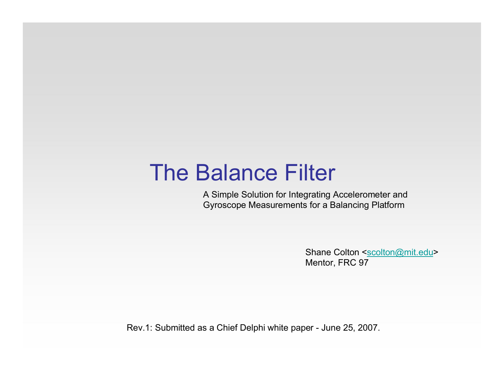# The Balance Filter

A Simple Solution for Integrating Accelerometer and Gyroscope Measurements for a Balancing Platform

> Shane Colton <scolton@mit.edu> Mentor, FRC 97

Rev.1: Submitted as a Chief Delphi white paper - June 25, 2007.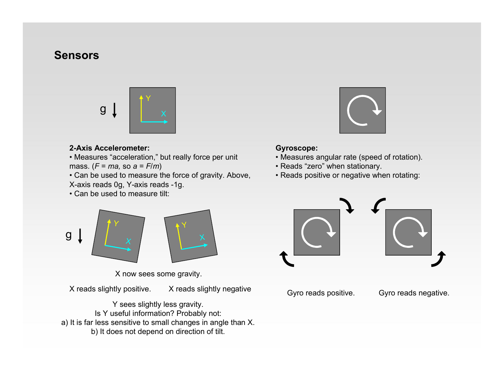# **Sensors**



#### **2-Axis Accelerometer:**

• Measures "acceleration," but really force per unit mass. (*F* = *ma,* so *a* = *F*/*m*)

• Can be used to measure the force of gravity. Above, X-axis reads 0g, Y-axis reads -1g.

• Can be used to measure tilt:

Y

g  $\downarrow$   $/$   $\quad$   $_{\chi}$ 



#### **Gyroscope:**

- Measures angular rate (speed of rotation).
- Reads "zero" when stationary.
- Reads positive or negative when rotating:



X now sees some gravity.

X reads slightly positive. X reads slightly negative

Y

Y sees slightly less gravity. Is Y useful information? Probably not: a) It is far less sensitive to small changes in angle than X. b) It does not depend on direction of tilt.

Gyro reads positive. Gyro reads negative.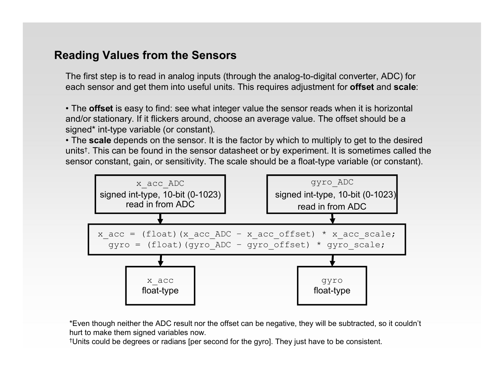# **Reading Values from the Sensors**

The first step is to read in analog inputs (through the analog-to-digital converter, ADC) for each sensor and get them into useful units. This requires adjustment for **offset** and **scale**:

• The **offset** is easy to find: see what integer value the sensor reads when it is horizontal and/or stationary. If it flickers around, choose an average value. The offset should be a signed\* int-type variable (or constant).

• The **scale** depends on the sensor. It is the factor by which to multiply to get to the desired units†. This can be found in the sensor datasheet or by experiment. It is sometimes called the sensor constant, gain, or sensitivity. The scale should be a float-type variable (or constant).



\*Even though neither the ADC result nor the offset can be negative, they will be subtracted, so it couldn't hurt to make them signed variables now.

†Units could be degrees or radians [per second for the gyro]. They just have to be consistent.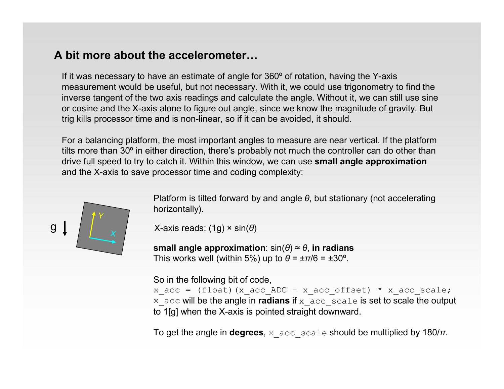# **A bit more about the accelerometer…**

If it was necessary to have an estimate of angle for 360º of rotation, having the Y-axis measurement would be useful, but not necessary. With it, we could use trigonometry to find the inverse tangent of the two axis readings and calculate the angle. Without it, we can still use sine or cosine and the X-axis alone to figure out angle, since we know the magnitude of gravity. But trig kills processor time and is non-linear, so if it can be avoided, it should.

For a balancing platform, the most important angles to measure are near vertical. If the platform tilts more than 30º in either direction, there's probably not much the controller can do other than drive full speed to try to catch it. Within this window, we can use **small angle approximation** and the X-axis to save processor time and coding complexity:



Platform is tilted forward by and angle *θ*, but stationary (not accelerating horizontally).

X-axis reads: (1g) × sin(*θ*)

**small angle approximation**: sin(*θ*) ≈ *θ*, **in radians** This works well (within 5%) up to  $\theta = \pm \pi/6 = \pm 30^{\circ}$ .

So in the following bit of code,

x acc = (float)(x acc ADC – x acc offset) \* x acc scale; x\_acc will be the angle in **radians** if x\_acc\_scale is set to scale the output to 1[g] when the X-axis is pointed straight downward.

To get the angle in **degrees**, x  $\angle$ acc scale should be multiplied by 180/ $\pi$ .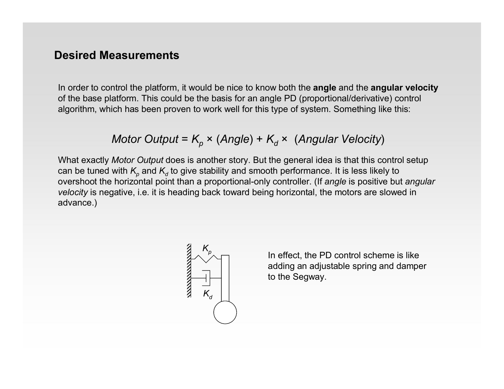# **Desired Measurements**

In order to control the platform, it would be nice to know both the **angle** and the **angular velocity** of the base platform. This could be the basis for an angle PD (proportional/derivative) control algorithm, which has been proven to work well for this type of system. Something like this:

*Motor Output* = 
$$
K_p
$$
 × (*Angle*) +  $K_d$  × (*Angular Velocity*)

What exactly *Motor Output* does is another story. But the general idea is that this control setup can be tuned with  $K_p$  and  $K_q$  to give stability and smooth performance. It is less likely to overshoot the horizontal point than a proportional-only controller. (If *angle* is positive but *angular velocity* is negative, i.e. it is heading back toward being horizontal, the motors are slowed in advance.)



In effect, the PD control scheme is like adding an adjustable spring and damper to the Segway.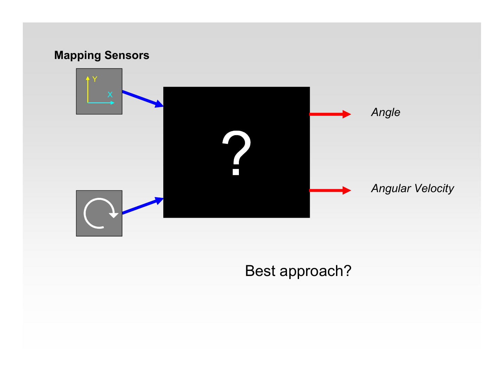# **Mapping Sensors** Y *Angle Angular Velocity*

Best approach?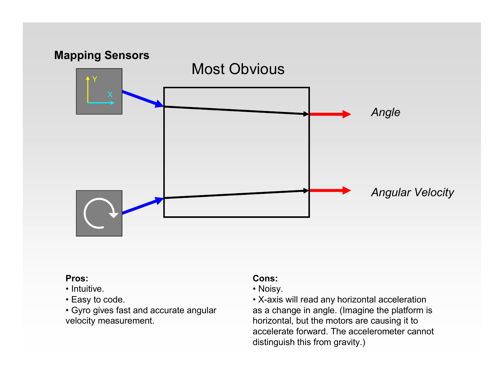

- Intuitive.
- Easy to code.
- Gyro gives fast and accurate angular velocity measurement.

### **Cons:**

- Noisy.
- X-axis will read any horizontal acceleration as a change in angle. (Imagine the platform is horizontal, but the motors are causing it to accelerate forward. The accelerometer cannot distinguish this from gravity.)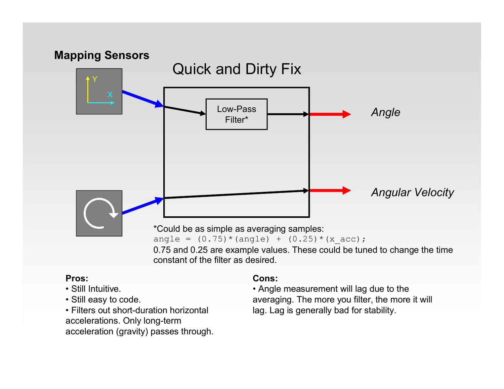

- Still Intuitive.
- Still easy to code.

• Filters out short-duration horizontal accelerations. Only long-term acceleration (gravity) passes through.

#### **Cons:**

• Angle measurement will lag due to the averaging. The more you filter, the more it will lag. Lag is generally bad for stability.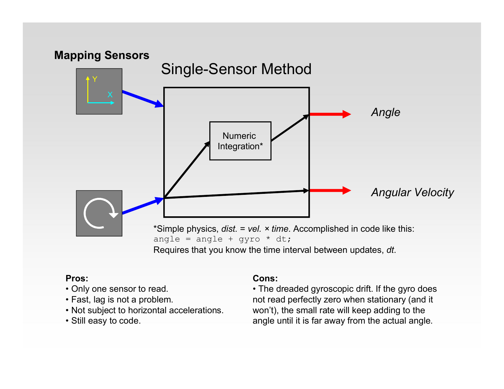

Requires that you know the time interval between updates, *dt*.

#### **Pros:**

- Only one sensor to read.
- Fast, lag is not a problem.
- Not subject to horizontal accelerations.
- Still easy to code.

#### **Cons:**

• The dreaded gyroscopic drift. If the gyro does not read perfectly zero when stationary (and it won't), the small rate will keep adding to the angle until it is far away from the actual angle.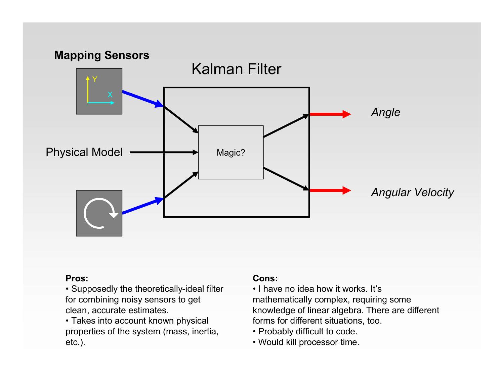

• Supposedly the theoretically-ideal filter for combining noisy sensors to get clean, accurate estimates.

• Takes into account known physical properties of the system (mass, inertia, etc.).

#### **Cons:**

• I have no idea how it works. It's mathematically complex, requiring some knowledge of linear algebra. There are different forms for different situations, too.

- Probably difficult to code.
- Would kill processor time.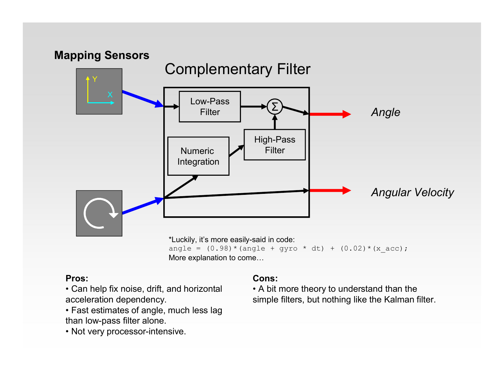

- Can help fix noise, drift, and horizontal acceleration dependency.
- Fast estimates of angle, much less lag than low-pass filter alone.
- Not very processor-intensive.

#### **Cons:**

• A bit more theory to understand than the simple filters, but nothing like the Kalman filter.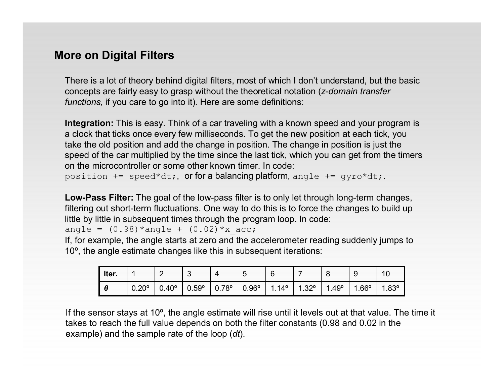# **More on Digital Filters**

There is a lot of theory behind digital filters, most of which I don't understand, but the basic concepts are fairly easy to grasp without the theoretical notation (*z-domain transfer functions*, if you care to go into it). Here are some definitions:

**Integration:** This is easy. Think of a car traveling with a known speed and your program is a clock that ticks once every few milliseconds. To get the new position at each tick, you take the old position and add the change in position. The change in position is just the speed of the car multiplied by the time since the last tick, which you can get from the timers on the microcontroller or some other known timer. In code:

position  $+=$  speed\*dt;, or for a balancing platform, angle  $+=$  gyro\*dt;.

**Low-Pass Filter:** The goal of the low-pass filter is to only let through long-term changes, filtering out short-term fluctuations. One way to do this is to force the changes to build up little by little in subsequent times through the program loop. In code:

angle =  $(0.98)$ \*angle +  $(0.02)$ \*x acc;

If, for example, the angle starts at zero and the accelerometer reading suddenly jumps to 10º, the angle estimate changes like this in subsequent iterations:

| Iter. |             |              | ⌒<br>J | Δ            | ∽<br>w       | 6            |          | -<br>∼      | У             | 10          |
|-------|-------------|--------------|--------|--------------|--------------|--------------|----------|-------------|---------------|-------------|
| Ω     | ാറാ<br>∪.∠∪ | $0.40^\circ$ | 0.59°  | $0.78^\circ$ | $0.96^\circ$ | $14^{\circ}$ | 200<br>ے | $.49^\circ$ | $.66^{\circ}$ | QQ0<br>טט.ו |

If the sensor stays at 10º, the angle estimate will rise until it levels out at that value. The time it takes to reach the full value depends on both the filter constants (0.98 and 0.02 in the example) and the sample rate of the loop (*dt*).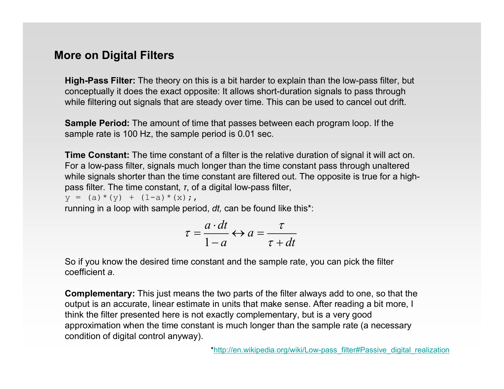# **More on Digital Filters**

**High-Pass Filter:** The theory on this is a bit harder to explain than the low-pass filter, but conceptually it does the exact opposite: It allows short-duration signals to pass through while filtering out signals that are steady over time. This can be used to cancel out drift.

**Sample Period:** The amount of time that passes between each program loop. If the sample rate is 100 Hz, the sample period is 0.01 sec.

**Time Constant:** The time constant of a filter is the relative duration of signal it will act on. For a low-pass filter, signals much longer than the time constant pass through unaltered while signals shorter than the time constant are filtered out. The opposite is true for a highpass filter. The time constant, *τ*, of a digital low-pass filter,

 $y = (a) * (y) + (1-a) * (x)$ ;

running in a loop with sample period, *dt,* can be found like this\*:

$$
\tau = \frac{a \cdot dt}{1 - a} \leftrightarrow a = \frac{\tau}{\tau + dt}
$$

So if you know the desired time constant and the sample rate, you can pick the filter coefficient *a*.

**Complementary:** This just means the two parts of the filter always add to one, so that the output is an accurate, linear estimate in units that make sense. After reading a bit more, I think the filter presented here is not exactly complementary, but is a very good approximation when the time constant is much longer than the sample rate (a necessary condition of digital control anyway).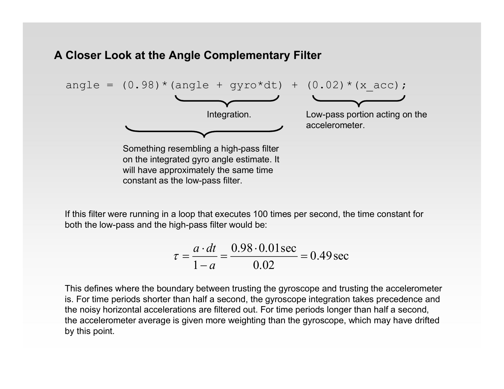# **A Closer Look at the Angle Complementary Filter**

constant as the low-pass filter.



If this filter were running in a loop that executes 100 times per second, the time constant for both the low-pass and the high-pass filter would be:

$$
\tau = \frac{a \cdot dt}{1 - a} = \frac{0.98 \cdot 0.01 \text{ sec}}{0.02} = 0.49 \text{ sec}
$$

This defines where the boundary between trusting the gyroscope and trusting the accelerometer is. For time periods shorter than half a second, the gyroscope integration takes precedence and the noisy horizontal accelerations are filtered out. For time periods longer than half a second, the accelerometer average is given more weighting than the gyroscope, which may have drifted by this point.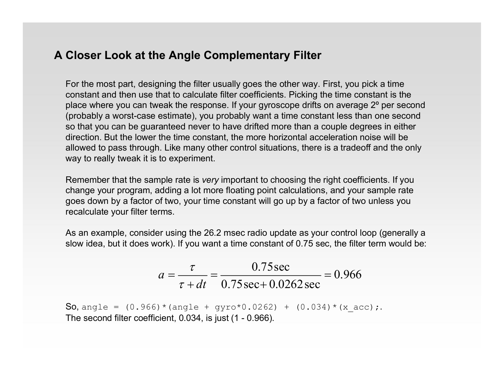# **A Closer Look at the Angle Complementary Filter**

For the most part, designing the filter usually goes the other way. First, you pick a time constant and then use that to calculate filter coefficients. Picking the time constant is the place where you can tweak the response. If your gyroscope drifts on average 2º per second (probably a worst-case estimate), you probably want a time constant less than one second so that you can be guaranteed never to have drifted more than a couple degrees in either direction. But the lower the time constant, the more horizontal acceleration noise will be allowed to pass through. Like many other control situations, there is a tradeoff and the only way to really tweak it is to experiment.

Remember that the sample rate is *very* important to choosing the right coefficients. If you change your program, adding a lot more floating point calculations, and your sample rate goes down by a factor of two, your time constant will go up by a factor of two unless you recalculate your filter terms.

As an example, consider using the 26.2 msec radio update as your control loop (generally a slow idea, but it does work). If you want a time constant of 0.75 sec, the filter term would be:

$$
a = \frac{\tau}{\tau + dt} = \frac{0.75 \text{ sec}}{0.75 \text{ sec} + 0.0262 \text{ sec}} = 0.966
$$

So, angle =  $(0.966) *$  (angle + gyro\*0.0262) +  $(0.034) *$  (x acc);. The second filter coefficient, 0.034, is just (1 - 0.966).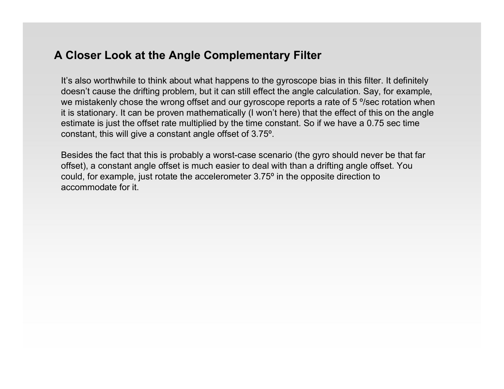# **A Closer Look at the Angle Complementary Filter**

It's also worthwhile to think about what happens to the gyroscope bias in this filter. It definitely doesn't cause the drifting problem, but it can still effect the angle calculation. Say, for example, we mistakenly chose the wrong offset and our gyroscope reports a rate of 5 °/sec rotation when it is stationary. It can be proven mathematically (I won't here) that the effect of this on the angle estimate is just the offset rate multiplied by the time constant. So if we have a 0.75 sec time constant, this will give a constant angle offset of 3.75º.

Besides the fact that this is probably a worst-case scenario (the gyro should never be that far offset), a constant angle offset is much easier to deal with than a drifting angle offset. You could, for example, just rotate the accelerometer 3.75º in the opposite direction to accommodate for it.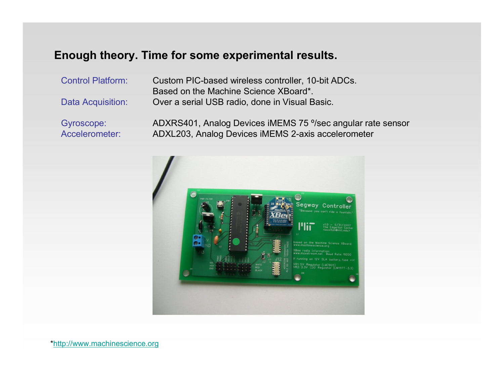# **Enough theory. Time for some experimental results.**

Control Platform: Custom PIC-based wireless controller, 10-bit ADCs. Based on the Machine Science XBoard\*. Data Acquisition: Over a serial USB radio, done in Visual Basic.

Gyroscope: ADXRS401, Analog Devices iMEMS 75 º/sec angular rate sensor Accelerometer: ADXL203, Analog Devices iMEMS 2-axis accelerometer



\*http://www.machinescience.org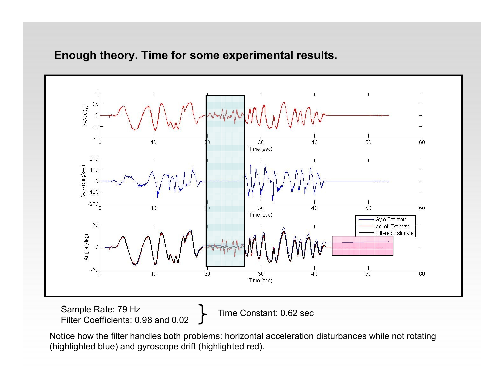

# **Enough theory. Time for some experimental results.**

Sample Rate: 79 Hz Filter Coefficients: 0.98 and 0.02

Time Constant: 0.62 sec

Notice how the filter handles both problems: horizontal acceleration disturbances while not rotating (highlighted blue) and gyroscope drift (highlighted red).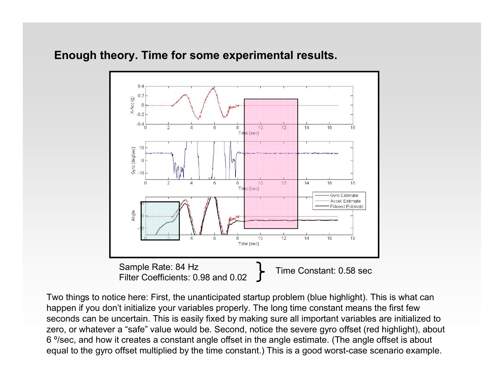# **Enough theory. Time for some experimental results.**



Two things to notice here: First, the unanticipated startup problem (blue highlight). This is what can happen if you don't initialize your variables properly. The long time constant means the first few seconds can be uncertain. This is easily fixed by making sure all important variables are initialized to zero, or whatever a "safe" value would be. Second, notice the severe gyro offset (red highlight), about 6 º/sec, and how it creates a constant angle offset in the angle estimate. (The angle offset is about equal to the gyro offset multiplied by the time constant.) This is a good worst-case scenario example.